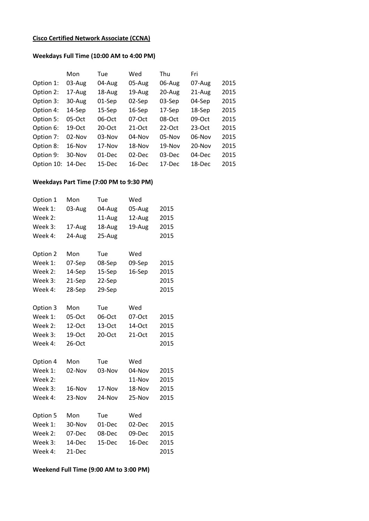## **Cisco Certified Network Associate (CCNA)**

## **Weekdays Full Time (10:00 AM to 4:00 PM)**

|            | Mon      | Tue      | Wed       | Thu      | Fri        |      |
|------------|----------|----------|-----------|----------|------------|------|
| Option 1:  | 03-Aug   | 04-Aug   | 05-Aug    | 06-Aug   | 07-Aug     | 2015 |
| Option 2:  | 17-Aug   | 18-Aug   | 19-Aug    | 20-Aug   | 21-Aug     | 2015 |
| Option 3:  | 30-Aug   | 01-Sep   | 02-Sep    | 03-Sep   | 04-Sep     | 2015 |
| Option 4:  | 14-Sep   | 15-Sep   | 16-Sep    | 17-Sep   | 18-Sep     | 2015 |
| Option 5:  | 05-Oct   | 06-Oct   | 07-Oct    | 08-Oct   | 09-Oct     | 2015 |
| Option 6:  | 19-Oct   | $20-Oct$ | $21-Oct$  | 22-Oct   | 23-Oct     | 2015 |
| Option 7:  | $02-Nov$ | $03-Nov$ | $04-Nov$  | 05-Nov   | 06-Nov     | 2015 |
| Option 8:  | 16-Nov   | $17-Nov$ | 18-Nov    | $19-Nov$ | $20 - Nov$ | 2015 |
| Option 9:  | 30-Nov   | 01-Dec   | $02$ -Dec | 03-Dec   | 04-Dec     | 2015 |
| Option 10: | 14-Dec   | 15-Dec   | 16-Dec    | 17-Dec   | 18-Dec     | 2015 |

## **Weekdays Part Time (7:00 PM to 9:30 PM)**

| Option 1 | Mon    | Tue    | Wed      |      |
|----------|--------|--------|----------|------|
| Week 1:  | 03-Aug | 04-Aug | 05-Aug   | 2015 |
| Week 2:  |        | 11-Aug | 12-Aug   | 2015 |
| Week 3:  | 17-Aug | 18-Aug | 19-Aug   | 2015 |
| Week 4:  | 24-Aug | 25-Aug |          | 2015 |
| Option 2 | Mon    | Tue    | Wed      |      |
| Week 1:  | 07-Sep | 08-Sep | 09-Sep   | 2015 |
| Week 2:  | 14-Sep | 15-Sep | 16-Sep   | 2015 |
| Week 3:  | 21-Sep | 22-Sep |          | 2015 |
| Week 4:  | 28-Sep | 29-Sep |          | 2015 |
|          |        |        |          |      |
| Option 3 | Mon    | Tue    | Wed      |      |
| Week 1:  | 05-Oct | 06-Oct | 07-Oct   | 2015 |
| Week 2:  | 12-Oct | 13-Oct | 14-Oct   | 2015 |
| Week 3:  | 19-Oct | 20-Oct | $21-Oct$ | 2015 |
| Week 4:  | 26-Oct |        |          | 2015 |
| Option 4 | Mon    | Tue    | Wed      |      |
| Week 1:  | 02-Nov | 03-Nov | 04-Nov   | 2015 |
| Week 2:  |        |        | 11-Nov   | 2015 |
| Week 3:  | 16-Nov | 17-Nov | 18-Nov   | 2015 |
| Week 4:  | 23-Nov | 24-Nov | 25-Nov   | 2015 |
|          |        |        |          |      |
| Option 5 | Mon    | Tue    | Wed      |      |
| Week 1:  | 30-Nov | 01-Dec | 02-Dec   | 2015 |
| Week 2:  | 07-Dec | 08-Dec | 09-Dec   | 2015 |
| Week 3:  | 14-Dec | 15-Dec | 16-Dec   | 2015 |
| Week 4:  | 21-Dec |        |          | 2015 |

**Weekend Full Time (9:00 AM to 3:00 PM)**